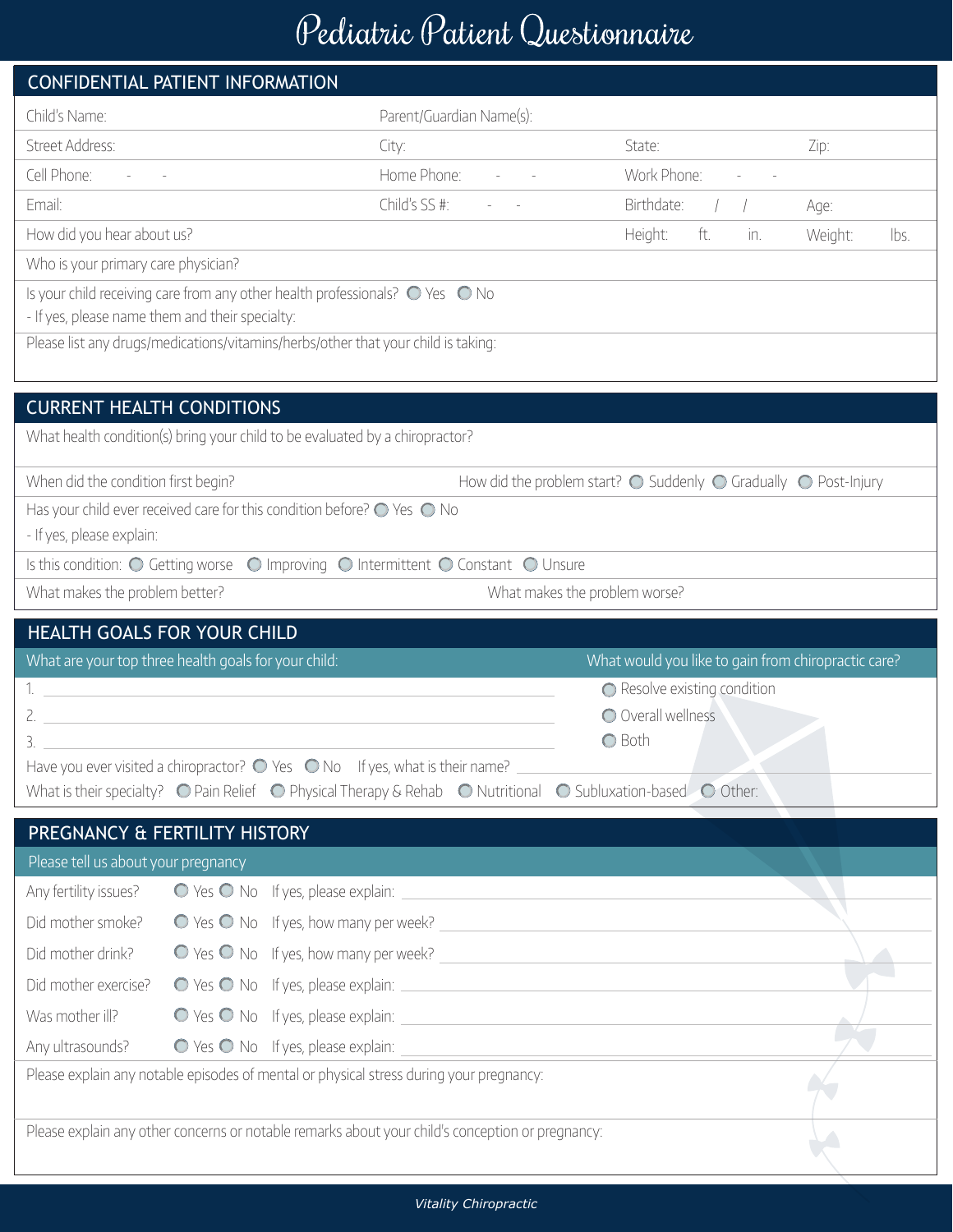## Pediatric Patient Questionnaire

|                                                                                           | CONFIDENTIAL PATIENT INFORMATION                                                               |                                                                                                                                                           |                                                                                            |                 |  |  |  |  |
|-------------------------------------------------------------------------------------------|------------------------------------------------------------------------------------------------|-----------------------------------------------------------------------------------------------------------------------------------------------------------|--------------------------------------------------------------------------------------------|-----------------|--|--|--|--|
| Child's Name:                                                                             |                                                                                                | Parent/Guardian Name(s):                                                                                                                                  |                                                                                            |                 |  |  |  |  |
| Street Address:                                                                           |                                                                                                | City:                                                                                                                                                     | State:                                                                                     | Zip:            |  |  |  |  |
| Cell Phone:                                                                               |                                                                                                | Home Phone:                                                                                                                                               | Work Phone:                                                                                |                 |  |  |  |  |
| Email:                                                                                    |                                                                                                | Child's SS #:                                                                                                                                             | Birthdate:                                                                                 | Age:            |  |  |  |  |
| How did you hear about us?                                                                |                                                                                                |                                                                                                                                                           | ft.<br>Height:<br>in.                                                                      | Weight:<br>lbs. |  |  |  |  |
| Who is your primary care physician?                                                       |                                                                                                |                                                                                                                                                           |                                                                                            |                 |  |  |  |  |
|                                                                                           | Is your child receiving care from any other health professionals? $\bigcirc$ Yes $\bigcirc$ No |                                                                                                                                                           |                                                                                            |                 |  |  |  |  |
| - If yes, please name them and their specialty:                                           |                                                                                                |                                                                                                                                                           |                                                                                            |                 |  |  |  |  |
|                                                                                           | Please list any drugs/medications/vitamins/herbs/other that your child is taking:              |                                                                                                                                                           |                                                                                            |                 |  |  |  |  |
|                                                                                           |                                                                                                |                                                                                                                                                           |                                                                                            |                 |  |  |  |  |
| <b>CURRENT HEALTH CONDITIONS</b>                                                          |                                                                                                |                                                                                                                                                           |                                                                                            |                 |  |  |  |  |
|                                                                                           | What health condition(s) bring your child to be evaluated by a chiropractor?                   |                                                                                                                                                           |                                                                                            |                 |  |  |  |  |
| When did the condition first begin?                                                       |                                                                                                |                                                                                                                                                           | How did the problem start? $\bigcirc$ Suddenly $\bigcirc$ Gradually $\bigcirc$ Post-Injury |                 |  |  |  |  |
| Has your child ever received care for this condition before? $\bigcirc$ Yes $\bigcirc$ No |                                                                                                |                                                                                                                                                           |                                                                                            |                 |  |  |  |  |
| - If yes, please explain:                                                                 |                                                                                                |                                                                                                                                                           |                                                                                            |                 |  |  |  |  |
|                                                                                           |                                                                                                | Is this condition: O Getting worse O Improving O Intermittent O Constant O Unsure                                                                         |                                                                                            |                 |  |  |  |  |
| What makes the problem better?<br>What makes the problem worse?                           |                                                                                                |                                                                                                                                                           |                                                                                            |                 |  |  |  |  |
|                                                                                           |                                                                                                |                                                                                                                                                           |                                                                                            |                 |  |  |  |  |
|                                                                                           | HEALTH GOALS FOR YOUR CHILD                                                                    |                                                                                                                                                           |                                                                                            |                 |  |  |  |  |
|                                                                                           | What are your top three health goals for your child:                                           |                                                                                                                                                           | What would you like to gain from chiropractic care?                                        |                 |  |  |  |  |
|                                                                                           |                                                                                                |                                                                                                                                                           | ◯ Resolve existing condition                                                               |                 |  |  |  |  |
|                                                                                           |                                                                                                |                                                                                                                                                           | O Overall wellness                                                                         |                 |  |  |  |  |
| 3.                                                                                        | Have you ever visited a chiropractor? $\bigcirc$ Yes $\bigcirc$ No If yes, what is their name? |                                                                                                                                                           | O Both                                                                                     |                 |  |  |  |  |
|                                                                                           |                                                                                                | What is their specialty? $\bigcirc$ Pain Relief $\bigcirc$ Physical Therapy & Rehab $\bigcirc$ Nutritional $\bigcirc$ Subluxation-based $\bigcirc$ Other: |                                                                                            |                 |  |  |  |  |
|                                                                                           |                                                                                                |                                                                                                                                                           |                                                                                            |                 |  |  |  |  |
| Please tell us about your pregnancy                                                       | PREGNANCY & FERTILITY HISTORY                                                                  |                                                                                                                                                           |                                                                                            |                 |  |  |  |  |
| Any fertility issues?                                                                     |                                                                                                |                                                                                                                                                           |                                                                                            |                 |  |  |  |  |
| Did mother smoke?                                                                         |                                                                                                |                                                                                                                                                           |                                                                                            |                 |  |  |  |  |
| Did mother drink?                                                                         |                                                                                                |                                                                                                                                                           |                                                                                            |                 |  |  |  |  |
| Did mother exercise?                                                                      |                                                                                                |                                                                                                                                                           |                                                                                            |                 |  |  |  |  |
| Was mother ill?                                                                           |                                                                                                |                                                                                                                                                           |                                                                                            |                 |  |  |  |  |
| Any ultrasounds?                                                                          |                                                                                                |                                                                                                                                                           |                                                                                            |                 |  |  |  |  |
|                                                                                           | Please explain any notable episodes of mental or physical stress during your pregnancy:        |                                                                                                                                                           |                                                                                            |                 |  |  |  |  |
|                                                                                           |                                                                                                |                                                                                                                                                           |                                                                                            |                 |  |  |  |  |
|                                                                                           |                                                                                                | Please explain any other concerns or notable remarks about your child's conception or pregnancy:                                                          |                                                                                            |                 |  |  |  |  |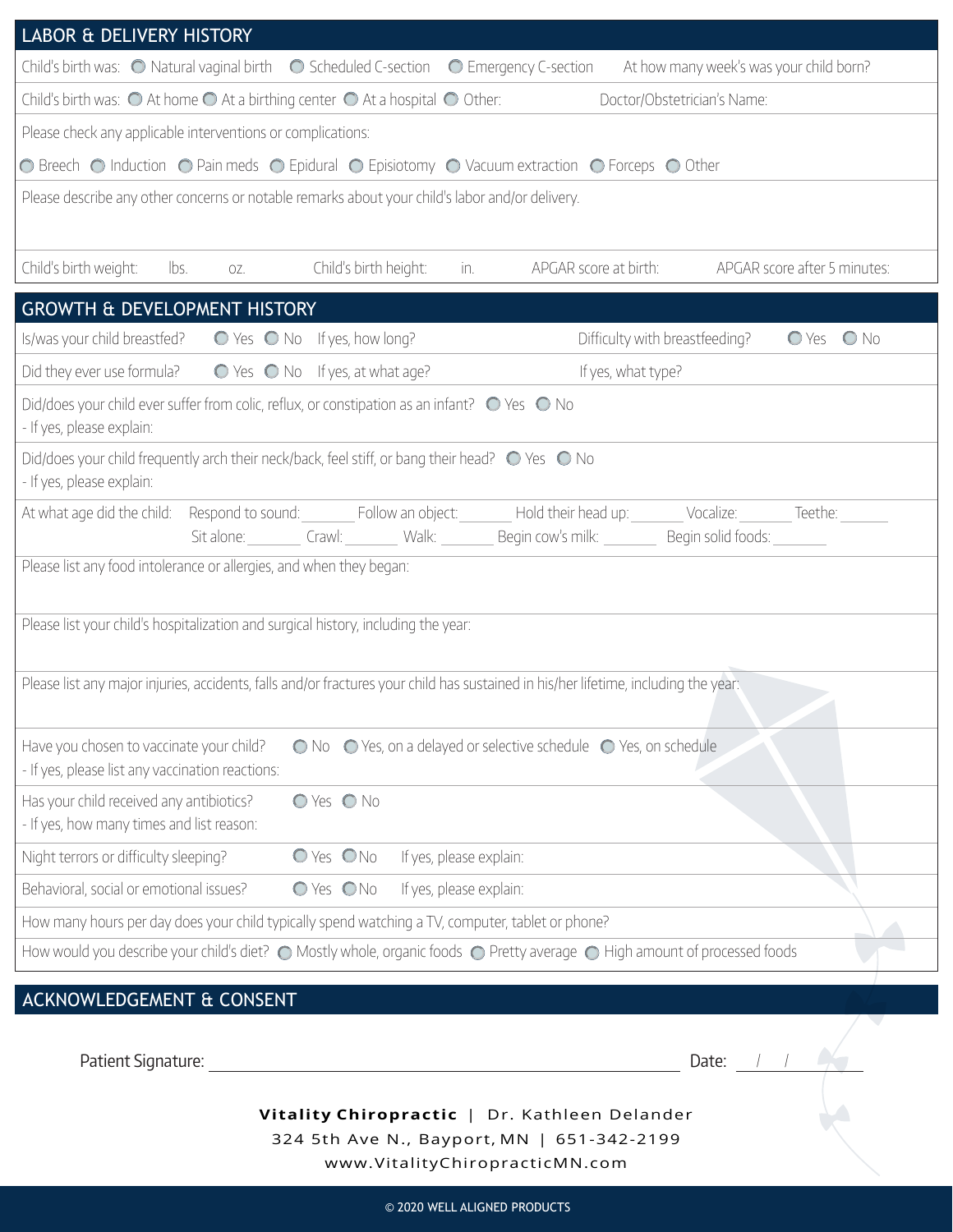| <b>LABOR &amp; DELIVERY HISTORY</b>                                                                                                                                  |  |  |  |  |  |  |  |  |
|----------------------------------------------------------------------------------------------------------------------------------------------------------------------|--|--|--|--|--|--|--|--|
| Child's birth was: $\bigcirc$ Natural vaginal birth $\bigcirc$ Scheduled C-section $\bigcirc$ Emergency C-section<br>At how many week's was your child born?         |  |  |  |  |  |  |  |  |
| Child's birth was: $\bigcirc$ At home $\bigcirc$ At a birthing center $\bigcirc$ At a hospital $\bigcirc$ Other:<br>Doctor/Obstetrician's Name:                      |  |  |  |  |  |  |  |  |
| Please check any applicable interventions or complications:                                                                                                          |  |  |  |  |  |  |  |  |
| ◯ Breech ◯ Induction ◯ Pain meds ◯ Epidural ◯ Episiotomy ◯ Vacuum extraction ◯ Forceps ◯ Other                                                                       |  |  |  |  |  |  |  |  |
| Please describe any other concerns or notable remarks about your child's labor and/or delivery.                                                                      |  |  |  |  |  |  |  |  |
|                                                                                                                                                                      |  |  |  |  |  |  |  |  |
| Child's birth weight:<br>Child's birth height:<br>APGAR score at birth:<br>APGAR score after 5 minutes:<br>lbs.<br>in.<br>OZ.                                        |  |  |  |  |  |  |  |  |
| <b>GROWTH &amp; DEVELOPMENT HISTORY</b>                                                                                                                              |  |  |  |  |  |  |  |  |
| Is/was your child breastfed? $\bigcirc$ Yes $\bigcirc$ No If yes, how long?<br>Difficulty with breastfeeding?<br>$O Yes$ $O No$                                      |  |  |  |  |  |  |  |  |
| Did they ever use formula?<br>$\bigcirc$ Yes $\bigcirc$ No If yes, at what age?<br>If yes, what type?                                                                |  |  |  |  |  |  |  |  |
| Did/does your child ever suffer from colic, reflux, or constipation as an infant? $\bigcirc$ Yes $\bigcirc$ No<br>- If yes, please explain:                          |  |  |  |  |  |  |  |  |
| Did/does your child frequently arch their neck/back, feel stiff, or bang their head? $\bigcirc$ Yes $\bigcirc$ No<br>- If yes, please explain:                       |  |  |  |  |  |  |  |  |
| At what age did the child: Respond to sound: Follow an object: Hold their head up: Vocalize: Teethe:<br>Sit alone: Crawl: Walk: Begin cow's milk: Begin solid foods: |  |  |  |  |  |  |  |  |
| Please list any food intolerance or allergies, and when they began:                                                                                                  |  |  |  |  |  |  |  |  |
|                                                                                                                                                                      |  |  |  |  |  |  |  |  |
| Please list your child's hospitalization and surgical history, including the year:                                                                                   |  |  |  |  |  |  |  |  |
| Please list any major injuries, accidents, falls and/or fractures your child has sustained in his/her lifetime, including the year:                                  |  |  |  |  |  |  |  |  |
| ◯ No ◯ Yes, on a delayed or selective schedule ◯ Yes, on schedule<br>Have you chosen to vaccinate your child?<br>- If yes, please list any vaccination reactions:    |  |  |  |  |  |  |  |  |
| O Yes O No<br>Has your child received any antibiotics?<br>- If yes, how many times and list reason:                                                                  |  |  |  |  |  |  |  |  |
| O Yes ONo<br>Night terrors or difficulty sleeping?<br>If yes, please explain:                                                                                        |  |  |  |  |  |  |  |  |
| Behavioral, social or emotional issues?<br>O Yes ONo<br>If yes, please explain:                                                                                      |  |  |  |  |  |  |  |  |
| How many hours per day does your child typically spend watching a TV, computer, tablet or phone?                                                                     |  |  |  |  |  |  |  |  |
| How would you describe your child's diet? © Mostly whole, organic foods © Pretty average © High amount of processed foods                                            |  |  |  |  |  |  |  |  |
| ACKNOWLEDGEMENT & CONSENT                                                                                                                                            |  |  |  |  |  |  |  |  |
|                                                                                                                                                                      |  |  |  |  |  |  |  |  |

| Patient Signature: |                                                                                                                               | Date: |  |  |
|--------------------|-------------------------------------------------------------------------------------------------------------------------------|-------|--|--|
|                    | Vitality Chiropractic   Dr. Kathleen Delander<br>324 5th Ave N., Bayport, MN   651-342-2199<br>www.VitalityChiropracticMN.com |       |  |  |